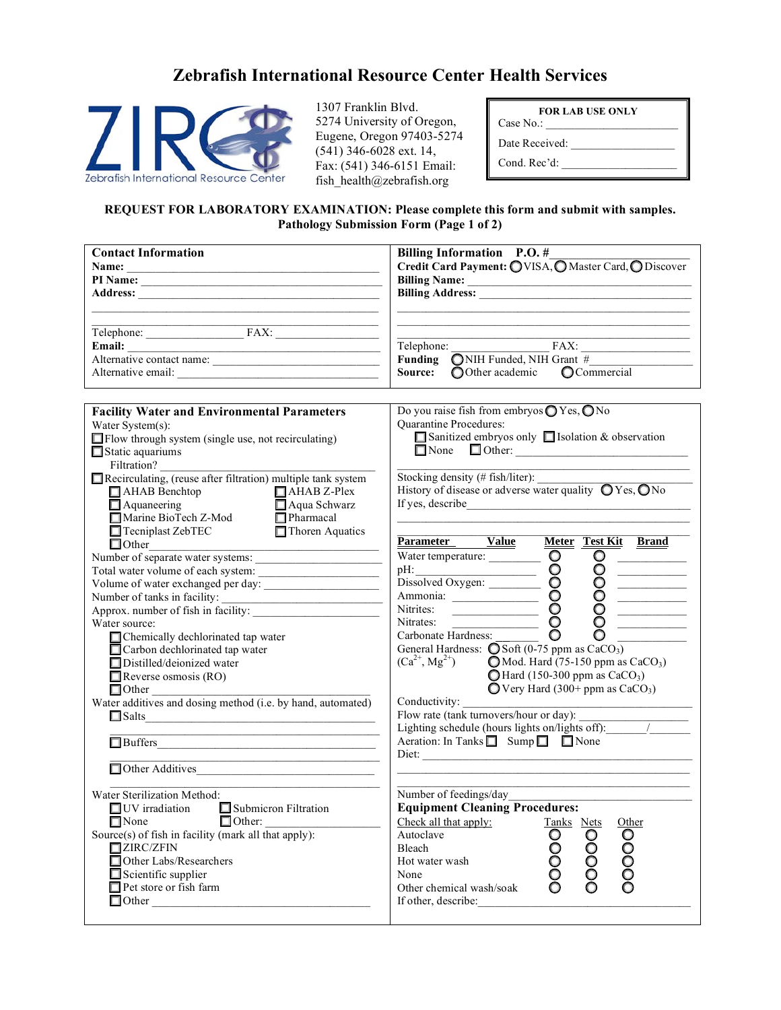## **Zebrafish International Resource Center Health Services**



1307 Franklin Blvd. 5274 University of Oregon, Eugene, Oregon 97403-5274  $(541)$  346-6028 ext. 14, Fax: (541) 346-6151 Email: fish\_health@zebrafish.org

| <b>FOR LAB USE ONLY</b> |  |  |
|-------------------------|--|--|
| Case No.:               |  |  |
| Date Received:          |  |  |
| Cond. Rec'd:            |  |  |

## **REQUEST FOR LABORATORY EXAMINATION: Please complete this form and submit with samples. Pathology Submission Form (Page 1 of 2)**

| <b>Contact Information</b>                                                                                   | Billing Information P.O. #                                                                                                                                               |
|--------------------------------------------------------------------------------------------------------------|--------------------------------------------------------------------------------------------------------------------------------------------------------------------------|
|                                                                                                              | Credit Card Payment: OVISA, O Master Card, O Discover                                                                                                                    |
|                                                                                                              |                                                                                                                                                                          |
|                                                                                                              |                                                                                                                                                                          |
|                                                                                                              |                                                                                                                                                                          |
|                                                                                                              |                                                                                                                                                                          |
| Telephone: FAX: FAX:                                                                                         |                                                                                                                                                                          |
|                                                                                                              | Telephone: FAX:                                                                                                                                                          |
| Alternative contact name:                                                                                    | <b>Funding</b> $\overline{ONIH}$ Funded, NIH Grant #                                                                                                                     |
|                                                                                                              | Source: OOther academic Commercial                                                                                                                                       |
|                                                                                                              |                                                                                                                                                                          |
| <b>Facility Water and Environmental Parameters</b>                                                           | Do you raise fish from embryos O Yes, O No                                                                                                                               |
| Water System(s):                                                                                             | Quarantine Procedures:                                                                                                                                                   |
| $\Box$ Flow through system (single use, not recirculating)                                                   | Sanitized embryos only Sisolation & observation                                                                                                                          |
| $\Box$ Static aquariums                                                                                      |                                                                                                                                                                          |
| Filtration?                                                                                                  |                                                                                                                                                                          |
| Recirculating, (reuse after filtration) multiple tank system                                                 | Stocking density (# fish/liter):                                                                                                                                         |
| $\Box$ AHAB Benchtop<br>$\Box$ AHAB Z-Plex                                                                   | History of disease or adverse water quality $\bigcirc$ Yes, $\bigcirc$ No                                                                                                |
|                                                                                                              |                                                                                                                                                                          |
|                                                                                                              |                                                                                                                                                                          |
| □ Aquaneering<br>□ Marine BioTech Z-Mod<br>□ Tecniplast ZebTEC □ Thoren Aquatics<br>$\Box$ Tecniplast ZebTEC |                                                                                                                                                                          |
|                                                                                                              | Parameter Value<br>Meter Test Kit Brand                                                                                                                                  |
| Number of separate water systems:                                                                            | Water temperature:<br>Water temperature:<br>Dissolved Oxygen:<br>Ammonia:<br>Nitrites:<br>Nitrates:<br>Carbonate Hardness:<br>Carbonate Hardness:<br>Carbonate Hardness: |
|                                                                                                              |                                                                                                                                                                          |
|                                                                                                              |                                                                                                                                                                          |
| Number of tanks in facility: $\frac{1}{\sqrt{1-\frac{1}{2}}}\left\{ x\right\}$                               |                                                                                                                                                                          |
| Approx. number of fish in facility:                                                                          |                                                                                                                                                                          |
| Water source:                                                                                                |                                                                                                                                                                          |
| □ Chemically dechlorinated tap water                                                                         |                                                                                                                                                                          |
| Carbon dechlorinated tap water                                                                               | General Hardness: $\bigcirc$ Soft (0-75 ppm as CaCO <sub>3</sub> )                                                                                                       |
| Distilled/deionized water                                                                                    | $(Ca^{2+}, Mg^{2+})$ <b>O</b> Mod. Hard (75-150 ppm as CaCO <sub>3</sub> )                                                                                               |
| $\Box$ Reverse osmosis (RO)                                                                                  | $\bigcirc$ Hard (150-300 ppm as CaCO <sub>3</sub> )                                                                                                                      |
|                                                                                                              | $\bigcirc$ Very Hard (300+ ppm as CaCO <sub>3</sub> )                                                                                                                    |
| □ Other<br>Water additives and dosing method (i.e. by hand, automated)                                       | Conductivity:                                                                                                                                                            |
| $\Box$ Salts                                                                                                 | Flow rate (tank turnovers/hour or day):                                                                                                                                  |
|                                                                                                              |                                                                                                                                                                          |
|                                                                                                              | Aeration: In Tanks $\Box$ Sump $\Box$ None                                                                                                                               |
|                                                                                                              |                                                                                                                                                                          |
| Other Additives                                                                                              |                                                                                                                                                                          |
|                                                                                                              |                                                                                                                                                                          |
| Water Sterilization Method:                                                                                  | Number of feedings/day                                                                                                                                                   |
| $\Box$ UV irradiation<br>$\Box$ Submicron Filtration                                                         | <b>Equipment Cleaning Procedures:</b>                                                                                                                                    |
| $\Box$ None<br>$\Box$ Other:                                                                                 | Check all that apply:<br>Tanks Nets<br>Other                                                                                                                             |
| Source(s) of fish in facility (mark all that apply):                                                         | 00000<br>Autoclave<br>00000<br>00000                                                                                                                                     |
| $\Box$ ZIRC/ZFIN                                                                                             | Bleach                                                                                                                                                                   |
| Other Labs/Researchers                                                                                       | Hot water wash                                                                                                                                                           |
| $\Box$ Scientific supplier                                                                                   | None                                                                                                                                                                     |
| Pet store or fish farm                                                                                       | Other chemical wash/soak                                                                                                                                                 |
|                                                                                                              | If other, describe:                                                                                                                                                      |
|                                                                                                              |                                                                                                                                                                          |